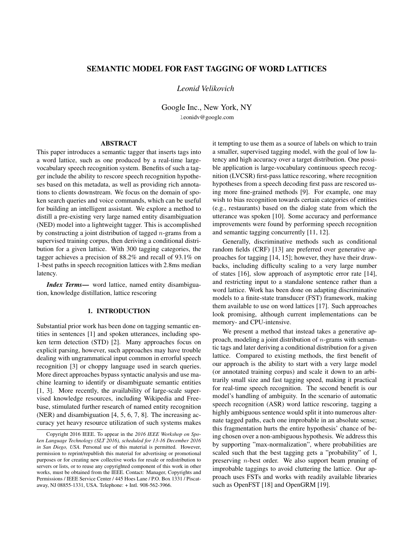# SEMANTIC MODEL FOR FAST TAGGING OF WORD LATTICES

# *Leonid Velikovich*

Google Inc., New York, NY leonidv@google.com

## ABSTRACT

This paper introduces a semantic tagger that inserts tags into a word lattice, such as one produced by a real-time largevocabulary speech recognition system. Benefits of such a tagger include the ability to rescore speech recognition hypotheses based on this metadata, as well as providing rich annotations to clients downstream. We focus on the domain of spoken search queries and voice commands, which can be useful for building an intelligent assistant. We explore a method to distill a pre-existing very large named entity disambiguation (NED) model into a lightweight tagger. This is accomplished by constructing a joint distribution of tagged  $n$ -grams from a supervised training corpus, then deriving a conditional distribution for a given lattice. With 300 tagging categories, the tagger achieves a precision of 88.2% and recall of 93.1% on 1-best paths in speech recognition lattices with 2.8ms median latency.

*Index Terms*— word lattice, named entity disambiguation, knowledge distillation, lattice rescoring

## 1. INTRODUCTION

Substantial prior work has been done on tagging semantic entities in sentences [1] and spoken utterances, including spoken term detection (STD) [2]. Many approaches focus on explicit parsing, however, such approaches may have trouble dealing with ungrammatical input common in errorful speech recognition [3] or choppy language used in search queries. More direct approaches bypass syntactic analysis and use machine learning to identify or disambiguate semantic entities [1, 3]. More recently, the availability of large-scale supervised knowledge resources, including Wikipedia and Freebase, stimulated further research of named entity recognition (NER) and disambiguation [4, 5, 6, 7, 8]. The increasing accuracy yet heavy resource utilization of such systems makes

it tempting to use them as a source of labels on which to train a smaller, supervised tagging model, with the goal of low latency and high accuracy over a target distribution. One possible application is large-vocabulary continuous speech recognition (LVCSR) first-pass lattice rescoring, where recognition hypotheses from a speech decoding first pass are rescored using more fine-grained methods [9]. For example, one may wish to bias recognition towards certain categories of entities (e.g., restaurants) based on the dialog state from which the utterance was spoken [10]. Some accuracy and performance improvements were found by performing speech recognition and semantic tagging concurrently [11, 12].

Generally, discriminative methods such as conditional random fields (CRF) [13] are preferred over generative approaches for tagging [14, 15]; however, they have their drawbacks, including difficulty scaling to a very large number of states [16], slow approach of asymptotic error rate [14], and restricting input to a standalone sentence rather than a word lattice. Work has been done on adapting discriminative models to a finite-state transducer (FST) framework, making them available to use on word lattices [17]. Such approaches look promising, although current implementations can be memory- and CPU-intensive.

We present a method that instead takes a generative approach, modeling a joint distribution of  $n$ -grams with semantic tags and later deriving a conditional distribution for a given lattice. Compared to existing methods, the first benefit of our approach is the ability to start with a very large model (or annotated training corpus) and scale it down to an arbitrarily small size and fast tagging speed, making it practical for real-time speech recognition. The second benefit is our model's handling of ambiguity. In the scenario of automatic speech recognition (ASR) word lattice rescoring, tagging a highly ambiguous sentence would split it into numerous alternate tagged paths, each one improbable in an absolute sense; this fragmentation hurts the entire hypothesis' chance of being chosen over a non-ambiguous hypothesis. We address this by supporting "max-normalization", where probabilities are scaled such that the best tagging gets a "probability" of 1, preserving n-best order. We also support beam pruning of improbable taggings to avoid cluttering the lattice. Our approach uses FSTs and works with readily available libraries such as OpenFST [18] and OpenGRM [19].

Copyright 2016 IEEE. To appear in the *2016 IEEE Workshop on Spoken Language Technology (SLT 2016), scheduled for 13-16 December 2016 in San Diego, USA.* Personal use of this material is permitted. However, permission to reprint/republish this material for advertising or promotional purposes or for creating new collective works for resale or redistribution to servers or lists, or to reuse any copyrighted component of this work in other works, must be obtained from the IEEE. Contact: Manager, Copyrights and Permissions / IEEE Service Center / 445 Hoes Lane / P.O. Box 1331 / Piscataway, NJ 08855-1331, USA. Telephone: + Intl. 908-562-3966.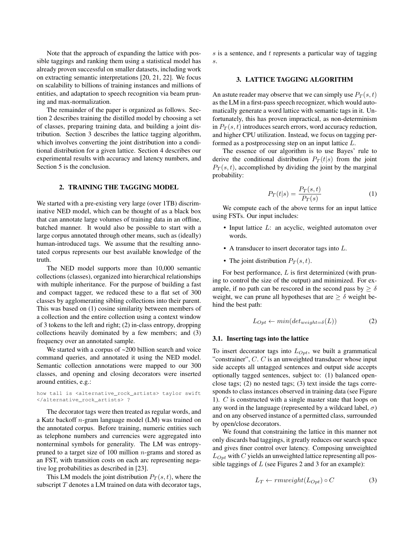Note that the approach of expanding the lattice with possible taggings and ranking them using a statistical model has already proven successful on smaller datasets, including work on extracting semantic interpretations [20, 21, 22]. We focus on scalability to billions of training instances and millions of entities, and adaptation to speech recognition via beam pruning and max-normalization.

The remainder of the paper is organized as follows. Section 2 describes training the distilled model by choosing a set of classes, preparing training data, and building a joint distribution. Section 3 describes the lattice tagging algorithm, which involves converting the joint distribution into a conditional distribution for a given lattice. Section 4 describes our experimental results with accuracy and latency numbers, and Section 5 is the conclusion.

## 2. TRAINING THE TAGGING MODEL

We started with a pre-existing very large (over 1TB) discriminative NED model, which can be thought of as a black box that can annotate large volumes of training data in an offline, batched manner. It would also be possible to start with a large corpus annotated through other means, such as (ideally) human-introduced tags. We assume that the resulting annotated corpus represents our best available knowledge of the truth.

The NED model supports more than 10,000 semantic collections (classes), organized into hierarchical relationships with multiple inheritance. For the purpose of building a fast and compact tagger, we reduced these to a flat set of 300 classes by agglomerating sibling collections into their parent. This was based on (1) cosine similarity between members of a collection and the entire collection using a context window of 3 tokens to the left and right; (2) in-class entropy, dropping collections heavily dominated by a few members; and (3) frequency over an annotated sample.

We started with a corpus of ~200 billion search and voice command queries, and annotated it using the NED model. Semantic collection annotations were mapped to our 300 classes, and opening and closing decorators were inserted around entities, e.g.:

#### how tall is <alternative\_rock\_artists> taylor swift </alternative\_rock\_artists> ?

The decorator tags were then treated as regular words, and a Katz backoff n-gram language model (LM) was trained on the annotated corpus. Before training, numeric entities such as telephone numbers and currencies were aggregated into nonterminal symbols for generality. The LM was entropypruned to a target size of 100 million  $n$ -grams and stored as an FST, with transition costs on each arc representing negative log probabilities as described in [23].

This LM models the joint distribution  $P_T(s,t)$ , where the subscript  $T$  denotes a LM trained on data with decorator tags,

s is a sentence, and  $t$  represents a particular way of tagging s.

## 3. LATTICE TAGGING ALGORITHM

An astute reader may observe that we can simply use  $P_T(s,t)$ as the LM in a first-pass speech recognizer, which would automatically generate a word lattice with semantic tags in it. Unfortunately, this has proven impractical, as non-determinism in  $P_T(s, t)$  introduces search errors, word accuracy reduction, and higher CPU utilization. Instead, we focus on tagging performed as a postprocessing step on an input lattice L.

The essence of our algorithm is to use Bayes' rule to derive the conditional distribution  $P_T(t|s)$  from the joint  $P_T(s,t)$ , accomplished by dividing the joint by the marginal probability:

$$
P_T(t|s) = \frac{P_T(s,t)}{P_T(s)}\tag{1}
$$

We compute each of the above terms for an input lattice using FSTs. Our input includes:

- Input lattice L: an acyclic, weighted automaton over words.
- A transducer to insert decorator tags into L.
- The joint distribution  $P_T(s,t)$ .

For best performance,  $L$  is first determinized (with pruning to control the size of the output) and minimized. For example, if no path can be rescored in the second pass by  $> \delta$ weight, we can prune all hypotheses that are  $\geq \delta$  weight behind the best path:

$$
L_{Opt} \leftarrow min(det_{weight=\delta}(L))
$$
 (2)

### 3.1. Inserting tags into the lattice

To insert decorator tags into  $L_{Opt}$ , we built a grammatical "constrainer",  $C$ .  $C$  is an unweighted transducer whose input side accepts all untagged sentences and output side accepts optionally tagged sentences, subject to: (1) balanced openclose tags; (2) no nested tags; (3) text inside the tags corresponds to class instances observed in training data (see Figure 1). C is constructed with a single master state that loops on any word in the language (represented by a wildcard label,  $\sigma$ ) and on any observed instance of a permitted class, surrounded by open/close decorators.

We found that constraining the lattice in this manner not only discards bad taggings, it greatly reduces our search space and gives finer control over latency. Composing unweighted  $L_{Opt}$  with C yields an unweighted lattice representing all possible taggings of  $L$  (see Figures 2 and 3 for an example):

$$
L_T \leftarrow \text{rmweight}(L_{Opt}) \circ C \tag{3}
$$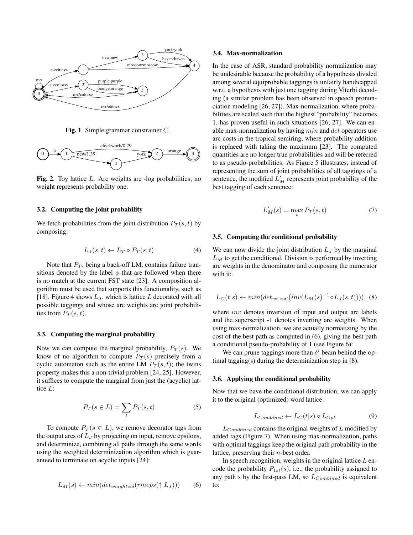

Fig. 1. Simple grammar constrainer C.



Fig. 2. Toy lattice L. Arc weights are -log probabilities; no weight represents probability one.

#### 3.2. Computing the joint probability

We fetch probabilities from the joint distribution  $P_T(s, t)$  by composing:

$$
L_J(s,t) \leftarrow L_T \circ P_T(s,t) \tag{4}
$$

Note that  $P_T$ , being a back-off LM, contains failure transitions denoted by the label  $\phi$  that are followed when there is no match at the current FST state [23]. A composition algorithm must be used that supports this functionality, such as [18]. Figure 4 shows  $L_J$ , which is lattice L decorated with all possible taggings and whose arc weights are joint probabilities from  $P_T(s,t)$ .

## 3.3. Computing the marginal probability

Now we can compute the marginal probability,  $P_T(s)$ . We know of no algorithm to compute  $P_T(s)$  precisely from a cyclic automaton such as the entire LM  $P_T(s,t)$ ; the twins property makes this a non-trivial problem [24, 25]. However, it suffices to compute the marginal from just the (acyclic) lattice L:

$$
P_T(s \in L) = \sum_t P_T(s, t) \tag{5}
$$

To compute  $P_T(s \in L)$ , we remove decorator tags from the output arcs of  $L_J$  by projecting on input, remove epsilons, and determinize, combining all paths through the same words using the weighted determinization algorithm which is guaranteed to terminate on acyclic inputs [24]:

$$
L_M(s) \leftarrow min(det_{weight=\delta}(rmeps(\uparrow L_J))) \tag{6}
$$

#### 3.4. Max-normalization

In the case of ASR, standard probability normalization may be undesirable because the probability of a hypothesis divided among several equiprobable taggings is unfairly handicapped w.r.t. a hypothesis with just one tagging during Viterbi decoding (a similar problem has been observed in speech pronunciation modeling [26, 27]). Max-normalization, where probabilities are scaled such that the highest "probability" becomes 1, has proven useful in such situations [26, 27]. We can enable max-normalization by having  $min$  and  $det$  operators use arc costs in the tropical semiring, where probability addition is replaced with taking the maximum [23]. The computed quantities are no longer true probabilities and will be referred to as pseudo-probabilities. As Figure 5 illustrates, instead of representing the sum of joint probabilities of all taggings of a sentence, the modified  $L'_M$  represents joint probability of the best tagging of each sentence:

$$
L'_M(s) = \max_t P_T(s, t)
$$
\n(7)

## 3.5. Computing the conditional probability

We can now divide the joint distribution  $L_{\text{I}}$  by the marginal  $L_M$  to get the conditional. Division is performed by inverting arc weights in the denominator and composing the numerator with it:

$$
L_C(t|s) \leftarrow min(det_{wt.=\delta'}(inv(L_M(s)^{-1} \circ L_J(s,t))))
$$
, (8)

where *inv* denotes inversion of input and output arc labels and the superscript -1 denotes inverting arc weights. When using max-normalization, we are actually normalizing by the cost of the best path as computed in (6), giving the best path a conditional pseudo-probability of 1 (see Figure 6):

We can prune taggings more than  $\delta'$  beam behind the optimal tagging(s) during the determinization step in (8).

### 3.6. Applying the conditional probability

Now that we have the conditional distribution, we can apply it to the original (optimized) word lattice:

$$
L_{Combined} \leftarrow L_C(t|s) \circ L_{Opt} \tag{9}
$$

 $L_{Combined}$  contains the original weights of  $L$  modified by added tags (Figure 7). When using max-normalization, paths with optimal taggings keep the original path probability in the lattice, preserving their n-best order.

In speech recognition, weights in the original lattice  $L$  encode the probability  $P_{1st}(s)$ , i.e., the probability assigned to any path s by the first-pass LM, so  $L_{Combined}$  is equivalent to: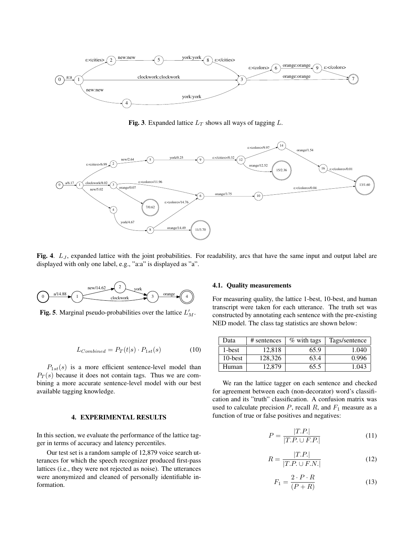

Fig. 3. Expanded lattice  $L_T$  shows all ways of tagging L.



Fig. 4.  $L_J$ , expanded lattice with the joint probabilities. For readability, arcs that have the same input and output label are displayed with only one label, e.g., "a:a" is displayed as "a".



**Fig. 5**. Marginal pseudo-probabilities over the lattice  $L'_M$ .

$$
L_{Combined} = P_T(t|s) \cdot P_{1st}(s)
$$
 (10)

 $P_{1st}(s)$  is a more efficient sentence-level model than  $P_T(s)$  because it does not contain tags. Thus we are combining a more accurate sentence-level model with our best available tagging knowledge.

### 4. EXPERIMENTAL RESULTS

In this section, we evaluate the performance of the lattice tagger in terms of accuracy and latency percentiles.

Our test set is a random sample of 12,879 voice search utterances for which the speech recognizer produced first-pass lattices (i.e., they were not rejected as noise). The utterances were anonymized and cleaned of personally identifiable information.

## 4.1. Quality measurements

For measuring quality, the lattice 1-best, 10-best, and human transcript were taken for each utterance. The truth set was constructed by annotating each sentence with the pre-existing NED model. The class tag statistics are shown below:

| Data       | # sentences | % with tags | Tags/sentence |
|------------|-------------|-------------|---------------|
| 1-best     | 12.818      | 65.9        | 1.040         |
| $10$ -best | 128.326     | 63.4        | 0.996         |
| Human      | 12.879      | 65.5        | 1.043         |

We ran the lattice tagger on each sentence and checked for agreement between each (non-decorator) word's classification and its "truth" classification. A confusion matrix was used to calculate precision  $P$ , recall  $R$ , and  $F_1$  measure as a function of true or false positives and negatives:

$$
P = \frac{|T.P.|}{|T.P. \cup F.P.|}
$$
\n(11)

$$
R = \frac{|T.P.|}{|T.P. \cup F.N.|}
$$
\n(12)

$$
F_1 = \frac{2 \cdot P \cdot R}{(P + R)}\tag{13}
$$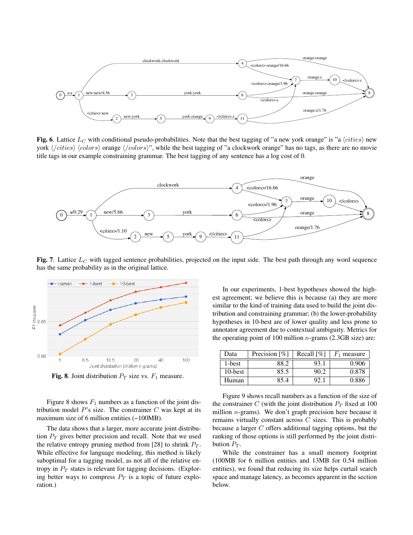

Fig. 6. Lattice  $L_C$  with conditional pseudo-probabilities. Note that the best tagging of "a new york orange" is "a  $\langle cities \rangle$  new york  $\langle /cities \rangle$   $\langle colors \rangle$  orange  $\langle /colors \rangle$ ", while the best tagging of "a clockwork orange" has no tags, as there are no movie title tags in our example constraining grammar. The best tagging of any sentence has a log cost of 0.



Fig. 7. Lattice  $L<sub>C</sub>$  with tagged sentence probabilities, projected on the input side. The best path through any word sequence has the same probability as in the original lattice.



Fig. 8. Joint distribution  $P_T$  size vs.  $F_1$  measure.

Figure 8 shows  $F_1$  numbers as a function of the joint distribution model  $P$ 's size. The constrainer  $C$  was kept at its maximum size of 6 million entities (~100MB).

The data shows that a larger, more accurate joint distribution  $P_T$  gives better precision and recall. Note that we used the relative entropy pruning method from [28] to shrink  $P_T$ . While effective for language modeling, this method is likely suboptimal for a tagging model, as not all of the relative entropy in  $P_T$  states is relevant for tagging decisions. (Exploring better ways to compress  $P_T$  is a topic of future exploration.)

In our experiments, 1-best hypotheses showed the highest agreement; we believe this is because (a) they are more similar to the kind of training data used to build the joint distribution and constraining grammar; (b) the lower-probability hypotheses in 10-best are of lower quality and less prone to annotator agreement due to contextual ambiguity. Metrics for the operating point of 100 million  $n$ -grams (2.3GB size) are:

| Data    | Precision $\lceil \% \rceil$ | Recall $[\%]$ | $F_1$ measure |
|---------|------------------------------|---------------|---------------|
| 1-best  | 88.2                         | 93.1          | 0.906         |
| 10-best | 85.5                         | 90.2          | 0.878         |
| Human   | 85.4                         |               | 0.886         |

Figure 9 shows recall numbers as a function of the size of the constrainer C (with the joint distribution  $P_T$  fixed at 100 million n-grams). We don't graph precision here because it remains virtually constant across  $C$  sizes. This is probably because a larger C offers additional tagging options, but the ranking of those options is still performed by the joint distribution  $P_T$ .

While the constrainer has a small memory footprint (100MB for 6 million entities and 13MB for 0.54 million entities), we found that reducing its size helps curtail search space and manage latency, as becomes apparent in the section below.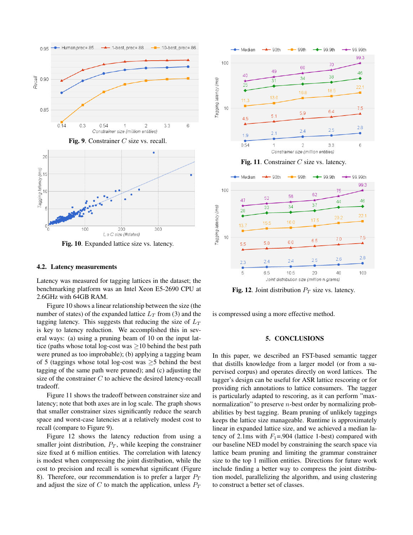





Fig. 10. Expanded lattice size vs. latency.

### 4.2. Latency measurements

Latency was measured for tagging lattices in the dataset; the benchmarking platform was an Intel Xeon E5-2690 CPU at 2.6GHz with 64GB RAM.

Figure 10 shows a linear relationship between the size (the number of states) of the expanded lattice  $L_T$  from (3) and the tagging latency. This suggests that reducing the size of  $L_T$ is key to latency reduction. We accomplished this in several ways: (a) using a pruning beam of 10 on the input lattice (paths whose total log-cost was  $\geq$ 10 behind the best path were pruned as too improbable); (b) applying a tagging beam of 5 (taggings whose total log-cost was  $\geq$ 5 behind the best tagging of the same path were pruned); and (c) adjusting the size of the constrainer  $C$  to achieve the desired latency-recall tradeoff.

Figure 11 shows the tradeoff between constrainer size and latency; note that both axes are in log scale. The graph shows that smaller constrainer sizes significantly reduce the search space and worst-case latencies at a relatively modest cost to recall (compare to Figure 9).

Figure 12 shows the latency reduction from using a smaller joint distribution,  $P_T$ , while keeping the constrainer size fixed at 6 million entities. The correlation with latency is modest when compressing the joint distribution, while the cost to precision and recall is somewhat significant (Figure 8). Therefore, our recommendation is to prefer a larger  $P_T$ and adjust the size of C to match the application, unless  $P_T$ 



Fig. 11. Constrainer  $C$  size vs. latency.



**Fig. 12.** Joint distribution  $P_T$  size vs. latency.

is compressed using a more effective method.

### 5. CONCLUSIONS

In this paper, we described an FST-based semantic tagger that distills knowledge from a larger model (or from a supervised corpus) and operates directly on word lattices. The tagger's design can be useful for ASR lattice rescoring or for providing rich annotations to lattice consumers. The tagger is particularly adapted to rescoring, as it can perform "maxnormalization" to preserve n-best order by normalizing probabilities by best tagging. Beam pruning of unlikely taggings keeps the lattice size manageable. Runtime is approximately linear in expanded lattice size, and we achieved a median latency of 2.1ms with  $F_1 = .904$  (lattice 1-best) compared with our baseline NED model by constraining the search space via lattice beam pruning and limiting the grammar constrainer size to the top 1 million entities. Directions for future work include finding a better way to compress the joint distribution model, parallelizing the algorithm, and using clustering to construct a better set of classes.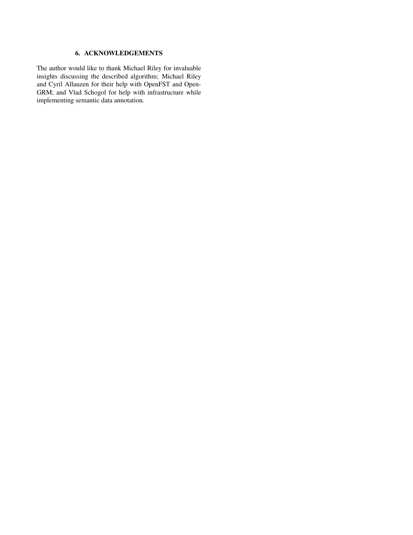# 6. ACKNOWLEDGEMENTS

The author would like to thank Michael Riley for invaluable insights discussing the described algorithm; Michael Riley and Cyril Allauzen for their help with OpenFST and Open-GRM; and Vlad Schogol for help with infrastructure while implementing semantic data annotation.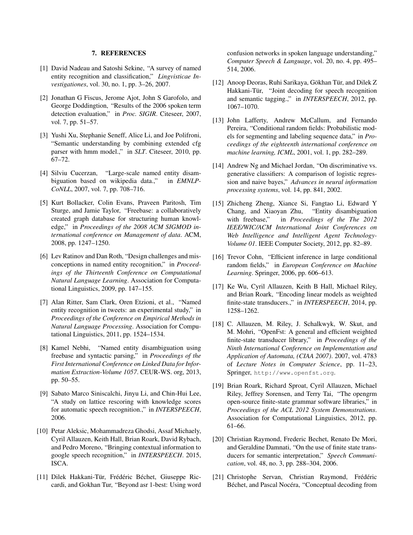## 7. REFERENCES

- [1] David Nadeau and Satoshi Sekine, "A survey of named entity recognition and classification," *Lingvisticae Investigationes*, vol. 30, no. 1, pp. 3–26, 2007.
- [2] Jonathan G Fiscus, Jerome Ajot, John S Garofolo, and George Doddingtion, "Results of the 2006 spoken term detection evaluation," in *Proc. SIGIR*. Citeseer, 2007, vol. 7, pp. 51–57.
- [3] Yushi Xu, Stephanie Seneff, Alice Li, and Joe Polifroni, "Semantic understanding by combining extended cfg parser with hmm model.," in *SLT*. Citeseer, 2010, pp. 67–72.
- [4] Silviu Cucerzan, "Large-scale named entity disambiguation based on wikipedia data.," in *EMNLP-CoNLL*, 2007, vol. 7, pp. 708–716.
- [5] Kurt Bollacker, Colin Evans, Praveen Paritosh, Tim Sturge, and Jamie Taylor, "Freebase: a collaboratively created graph database for structuring human knowledge," in *Proceedings of the 2008 ACM SIGMOD international conference on Management of data*. ACM, 2008, pp. 1247–1250.
- [6] Lev Ratinov and Dan Roth, "Design challenges and misconceptions in named entity recognition," in *Proceedings of the Thirteenth Conference on Computational Natural Language Learning*. Association for Computational Linguistics, 2009, pp. 147–155.
- [7] Alan Ritter, Sam Clark, Oren Etzioni, et al., "Named entity recognition in tweets: an experimental study," in *Proceedings of the Conference on Empirical Methods in Natural Language Processing*. Association for Computational Linguistics, 2011, pp. 1524–1534.
- [8] Kamel Nebhi, "Named entity disambiguation using freebase and syntactic parsing," in *Proceedings of the First International Conference on Linked Data for Information Extraction-Volume 1057*. CEUR-WS. org, 2013, pp. 50–55.
- [9] Sabato Marco Siniscalchi, Jinyu Li, and Chin-Hui Lee, "A study on lattice rescoring with knowledge scores for automatic speech recognition.," in *INTERSPEECH*, 2006.
- [10] Petar Aleksic, Mohammadreza Ghodsi, Assaf Michaely, Cyril Allauzen, Keith Hall, Brian Roark, David Rybach, and Pedro Moreno, "Bringing contextual information to google speech recognition," in *INTERSPEECH*. 2015, ISCA.
- [11] Dilek Hakkani-Tür, Frédéric Béchet, Giuseppe Riccardi, and Gokhan Tur, "Beyond asr 1-best: Using word

confusion networks in spoken language understanding," *Computer Speech & Language*, vol. 20, no. 4, pp. 495– 514, 2006.

- [12] Anoop Deoras, Ruhi Sarikaya, Gökhan Tür, and Dilek Z Hakkani-Tür, "Joint decoding for speech recognition and semantic tagging.," in *INTERSPEECH*, 2012, pp. 1067–1070.
- [13] John Lafferty, Andrew McCallum, and Fernando Pereira, "Conditional random fields: Probabilistic models for segmenting and labeling sequence data," in *Proceedings of the eighteenth international conference on machine learning, ICML*, 2001, vol. 1, pp. 282–289.
- [14] Andrew Ng and Michael Jordan, "On discriminative vs. generative classifiers: A comparison of logistic regression and naive bayes," *Advances in neural information processing systems*, vol. 14, pp. 841, 2002.
- [15] Zhicheng Zheng, Xiance Si, Fangtao Li, Edward Y Chang, and Xiaoyan Zhu, "Entity disambiguation with freebase," in *Proceedings of the The 2012 IEEE/WIC/ACM International Joint Conferences on Web Intelligence and Intelligent Agent Technology-Volume 01*. IEEE Computer Society, 2012, pp. 82–89.
- [16] Trevor Cohn, "Efficient inference in large conditional random fields," in *European Conference on Machine Learning*. Springer, 2006, pp. 606–613.
- [17] Ke Wu, Cyril Allauzen, Keith B Hall, Michael Riley, and Brian Roark, "Encoding linear models as weighted finite-state transducers.," in *INTERSPEECH*, 2014, pp. 1258–1262.
- [18] C. Allauzen, M. Riley, J. Schalkwyk, W. Skut, and M. Mohri, "OpenFst: A general and efficient weighted finite-state transducer library," in *Proceedings of the Ninth International Conference on Implementation and Application of Automata, (CIAA 2007)*. 2007, vol. 4783 of *Lecture Notes in Computer Science*, pp. 11–23, Springer, http://www.openfst.org.
- [19] Brian Roark, Richard Sproat, Cyril Allauzen, Michael Riley, Jeffrey Sorensen, and Terry Tai, "The opengrm open-source finite-state grammar software libraries," in *Proceedings of the ACL 2012 System Demonstrations*. Association for Computational Linguistics, 2012, pp. 61–66.
- [20] Christian Raymond, Frederic Bechet, Renato De Mori, and Geraldine Damnati, "On the use of finite state transducers for semantic interpretation," *Speech Communication*, vol. 48, no. 3, pp. 288–304, 2006.
- [21] Christophe Servan, Christian Raymond, Frédéric Béchet, and Pascal Nocéra, "Conceptual decoding from